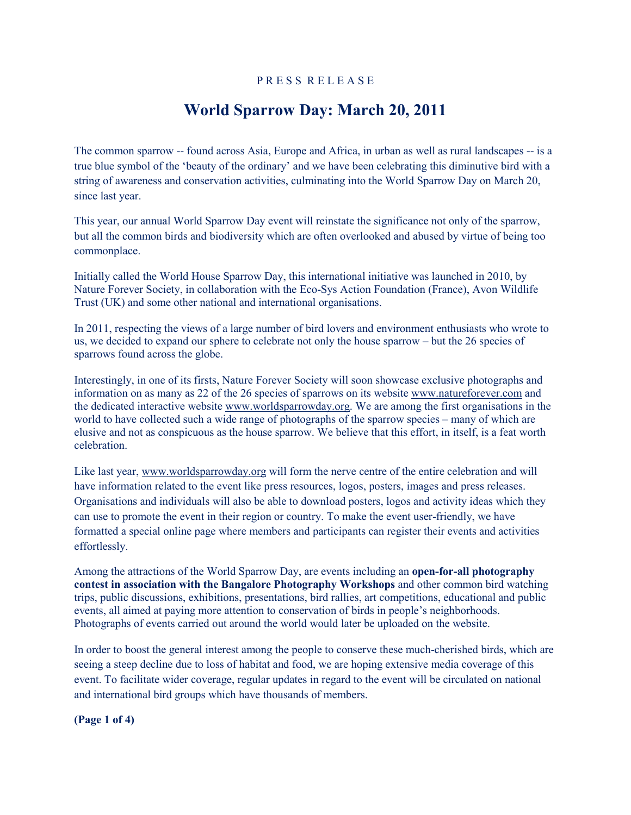# P R E S S R E L E A S E

# **World Sparrow Day: March 20, 2011**

The common sparrow -- found across Asia, Europe and Africa, in urban as well as rural landscapes -- is a true blue symbol of the 'beauty of the ordinary' and we have been celebrating this diminutive bird with a string of awareness and conservation activities, culminating into the World Sparrow Day on March 20, since last year.

This year, our annual World Sparrow Day event will reinstate the significance not only of the sparrow, but all the common birds and biodiversity which are often overlooked and abused by virtue of being too commonplace.

Initially called the World House Sparrow Day, this international initiative was launched in 2010, by Nature Forever Society, in collaboration with the Eco-Sys Action Foundation (France), Avon Wildlife Trust (UK) and some other national and international organisations.

In 2011, respecting the views of a large number of bird lovers and environment enthusiasts who wrote to us, we decided to expand our sphere to celebrate not only the house sparrow – but the 26 species of sparrows found across the globe.

Interestingly, in one of its firsts, Nature Forever Society will soon showcase exclusive photographs and information on as many as 22 of the 26 species of sparrows on its website [www.natureforever.com](http://www.natureforever.com/) and the dedicated interactive website [www.worldsparrowday.org](http://www.worldsparrowday.org/). We are among the first organisations in the world to have collected such a wide range of photographs of the sparrow species – many of which are elusive and not as conspicuous as the house sparrow. We believe that this effort, in itself, is a feat worth celebration.

Like last year, [www.worldsparrowday.org](http://www.worldsparrowday.org/) will form the nerve centre of the entire celebration and will have information related to the event like press resources, logos, posters, images and press releases. Organisations and individuals will also be able to download posters, logos and activity ideas which they can use to promote the event in their region or country. To make the event user-friendly, we have formatted a special online page where members and participants can register their events and activities effortlessly.

Among the attractions of the World Sparrow Day, are events including an **open-for-all photography contest in association with the Bangalore Photography Workshops** and other common bird watching trips, public discussions, exhibitions, presentations, bird rallies, art competitions, educational and public events, all aimed at paying more attention to conservation of birds in people's neighborhoods. Photographs of events carried out around the world would later be uploaded on the website.

In order to boost the general interest among the people to conserve these much-cherished birds, which are seeing a steep decline due to loss of habitat and food, we are hoping extensive media coverage of this event. To facilitate wider coverage, regular updates in regard to the event will be circulated on national and international bird groups which have thousands of members.

**(Page 1 of 4)**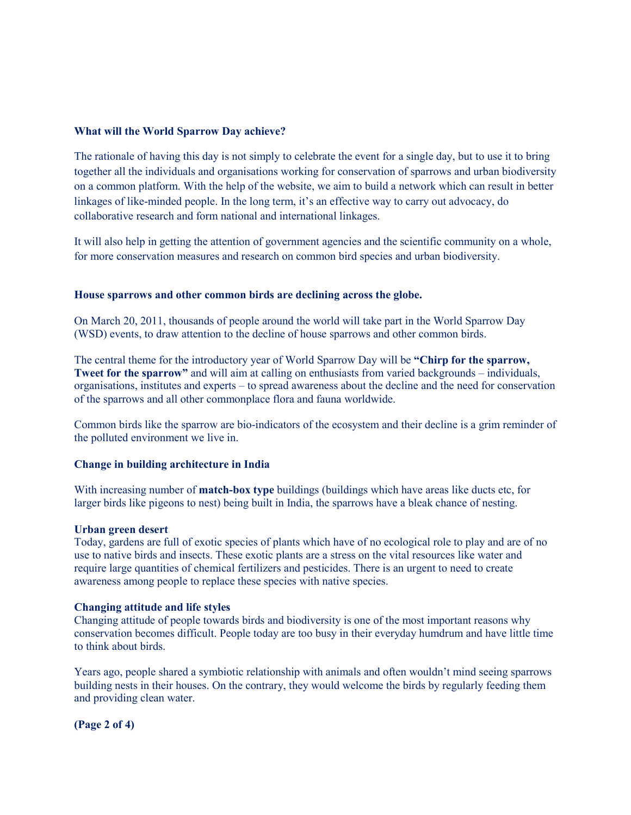## **What will the World Sparrow Day achieve?**

The rationale of having this day is not simply to celebrate the event for a single day, but to use it to bring together all the individuals and organisations working for conservation of sparrows and urban biodiversity on a common platform. With the help of the website, we aim to build a network which can result in better linkages of like-minded people. In the long term, it's an effective way to carry out advocacy, do collaborative research and form national and international linkages.

It will also help in getting the attention of government agencies and the scientific community on a whole, for more conservation measures and research on common bird species and urban biodiversity.

## **House sparrows and other common birds are declining across the globe.**

On March 20, 2011, thousands of people around the world will take part in the World Sparrow Day (WSD) events, to draw attention to the decline of house sparrows and other common birds.

The central theme for the introductory year of World Sparrow Day will be **"Chirp for the sparrow, Tweet for the sparrow"** and will aim at calling on enthusiasts from varied backgrounds – individuals, organisations, institutes and experts – to spread awareness about the decline and the need for conservation of the sparrows and all other commonplace flora and fauna worldwide.

Common birds like the sparrow are bio-indicators of the ecosystem and their decline is a grim reminder of the polluted environment we live in.

#### **Change in building architecture in India**

With increasing number of **match-box type** buildings (buildings which have areas like ducts etc, for larger birds like pigeons to nest) being built in India, the sparrows have a bleak chance of nesting.

#### **Urban green desert**

Today, gardens are full of exotic species of plants which have of no ecological role to play and are of no use to native birds and insects. These exotic plants are a stress on the vital resources like water and require large quantities of chemical fertilizers and pesticides. There is an urgent to need to create awareness among people to replace these species with native species.

#### **Changing attitude and life styles**

Changing attitude of people towards birds and biodiversity is one of the most important reasons why conservation becomes difficult. People today are too busy in their everyday humdrum and have little time to think about birds.

Years ago, people shared a symbiotic relationship with animals and often wouldn't mind seeing sparrows building nests in their houses. On the contrary, they would welcome the birds by regularly feeding them and providing clean water.

**(Page 2 of 4)**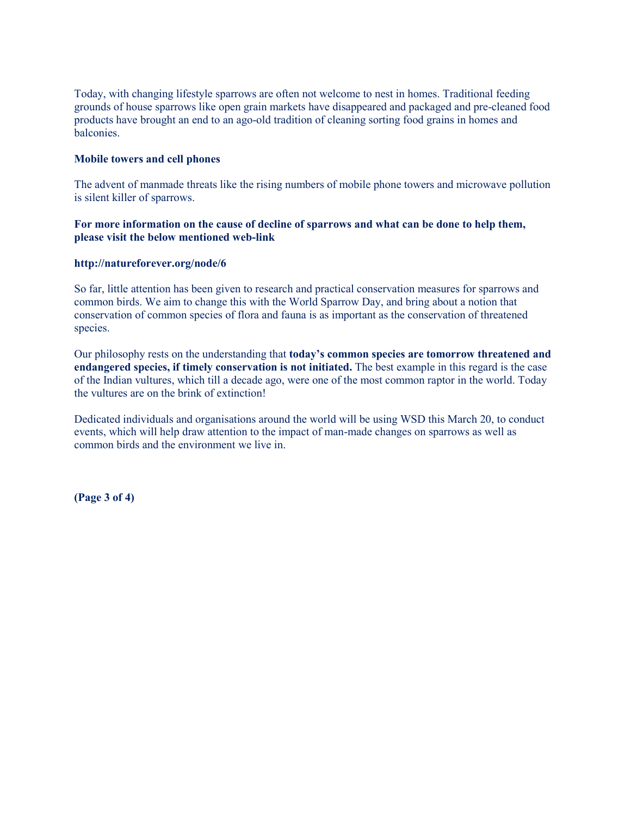Today, with changing lifestyle sparrows are often not welcome to nest in homes. Traditional feeding grounds of house sparrows like open grain markets have disappeared and packaged and pre-cleaned food products have brought an end to an ago-old tradition of cleaning sorting food grains in homes and balconies.

# **Mobile towers and cell phones**

The advent of manmade threats like the rising numbers of mobile phone towers and microwave pollution is silent killer of sparrows.

# **For more information on the cause of decline of sparrows and what can be done to help them, please visit the below mentioned web-link**

## **http://natureforever.org/node/6**

So far, little attention has been given to research and practical conservation measures for sparrows and common birds. We aim to change this with the World Sparrow Day, and bring about a notion that conservation of common species of flora and fauna is as important as the conservation of threatened species.

Our philosophy rests on the understanding that **today's common species are tomorrow threatened and endangered species, if timely conservation is not initiated.** The best example in this regard is the case of the Indian vultures, which till a decade ago, were one of the most common raptor in the world. Today the vultures are on the brink of extinction!

Dedicated individuals and organisations around the world will be using WSD this March 20, to conduct events, which will help draw attention to the impact of man-made changes on sparrows as well as common birds and the environment we live in.

**(Page 3 of 4)**